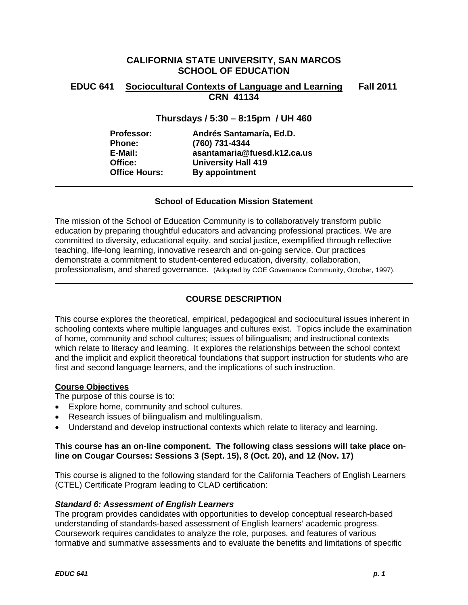## **CALIFORNIA STATE UNIVERSITY, SAN MARCOS SCHOOL OF EDUCATION**

## **EDUC 641 Sociocultural Contexts of Language and Learning Fall 2011 CRN 41134**

## **Thursdays / 5:30 – 8:15pm / UH 460**

| Professor:           | Andrés Santamaría, Ed.D.    |
|----------------------|-----------------------------|
| <b>Phone:</b>        | (760) 731-4344              |
| E-Mail:              | asantamaria@fuesd.k12.ca.us |
| Office:              | <b>University Hall 419</b>  |
| <b>Office Hours:</b> | By appointment              |

## **School of Education Mission Statement**

The mission of the School of Education Community is to collaboratively transform public education by preparing thoughtful educators and advancing professional practices. We are committed to diversity, educational equity, and social justice, exemplified through reflective teaching, life-long learning, innovative research and on-going service. Our practices demonstrate a commitment to student-centered education, diversity, collaboration, professionalism, and shared governance. (Adopted by COE Governance Community, October, 1997).

## **COURSE DESCRIPTION**

This course explores the theoretical, empirical, pedagogical and sociocultural issues inherent in schooling contexts where multiple languages and cultures exist. Topics include the examination of home, community and school cultures; issues of bilingualism; and instructional contexts which relate to literacy and learning. It explores the relationships between the school context and the implicit and explicit theoretical foundations that support instruction for students who are first and second language learners, and the implications of such instruction.

## **Course Objectives**

The purpose of this course is to:

- Explore home, community and school cultures.
- Research issues of bilingualism and multilingualism.
- Understand and develop instructional contexts which relate to literacy and learning.

## **This course has an on-line component. The following class sessions will take place online on Cougar Courses: Sessions 3 (Sept. 15), 8 (Oct. 20), and 12 (Nov. 17)**

This course is aligned to the following standard for the California Teachers of English Learners (CTEL) Certificate Program leading to CLAD certification:

## *Standard 6: Assessment of English Learners*

The program provides candidates with opportunities to develop conceptual research-based understanding of standards-based assessment of English learners' academic progress. Coursework requires candidates to analyze the role, purposes, and features of various formative and summative assessments and to evaluate the benefits and limitations of specific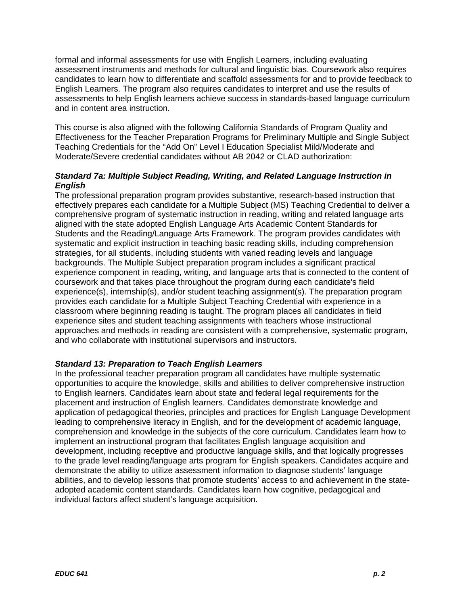formal and informal assessments for use with English Learners, including evaluating assessment instruments and methods for cultural and linguistic bias. Coursework also requires candidates to learn how to differentiate and scaffold assessments for and to provide feedback to English Learners. The program also requires candidates to interpret and use the results of assessments to help English learners achieve success in standards-based language curriculum and in content area instruction.

This course is also aligned with the following California Standards of Program Quality and Effectiveness for the Teacher Preparation Programs for Preliminary Multiple and Single Subject Teaching Credentials for the "Add On" Level I Education Specialist Mild/Moderate and Moderate/Severe credential candidates without AB 2042 or CLAD authorization:

## *Standard 7a: Multiple Subject Reading, Writing, and Related Language Instruction in English*

The professional preparation program provides substantive, research-based instruction that effectively prepares each candidate for a Multiple Subject (MS) Teaching Credential to deliver a comprehensive program of systematic instruction in reading, writing and related language arts aligned with the state adopted English Language Arts Academic Content Standards for Students and the Reading/Language Arts Framework. The program provides candidates with systematic and explicit instruction in teaching basic reading skills, including comprehension strategies, for all students, including students with varied reading levels and language backgrounds. The Multiple Subject preparation program includes a significant practical experience component in reading, writing, and language arts that is connected to the content of coursework and that takes place throughout the program during each candidate's field experience(s), internship(s), and/or student teaching assignment(s). The preparation program provides each candidate for a Multiple Subject Teaching Credential with experience in a classroom where beginning reading is taught. The program places all candidates in field experience sites and student teaching assignments with teachers whose instructional approaches and methods in reading are consistent with a comprehensive, systematic program, and who collaborate with institutional supervisors and instructors.

## *Standard 13: Preparation to Teach English Learners*

In the professional teacher preparation program all candidates have multiple systematic opportunities to acquire the knowledge, skills and abilities to deliver comprehensive instruction to English learners. Candidates learn about state and federal legal requirements for the placement and instruction of English learners. Candidates demonstrate knowledge and application of pedagogical theories, principles and practices for English Language Development leading to comprehensive literacy in English, and for the development of academic language, comprehension and knowledge in the subjects of the core curriculum. Candidates learn how to implement an instructional program that facilitates English language acquisition and development, including receptive and productive language skills, and that logically progresses to the grade level reading/language arts program for English speakers. Candidates acquire and demonstrate the ability to utilize assessment information to diagnose students' language abilities, and to develop lessons that promote students' access to and achievement in the stateadopted academic content standards. Candidates learn how cognitive, pedagogical and individual factors affect student's language acquisition.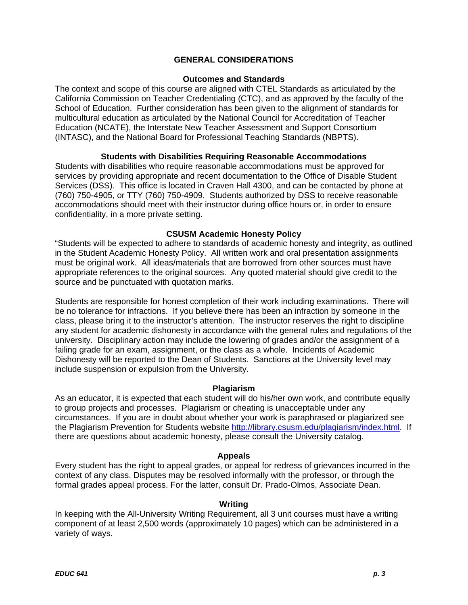## **GENERAL CONSIDERATIONS**

## **Outcomes and Standards**

The context and scope of this course are aligned with CTEL Standards as articulated by the California Commission on Teacher Credentialing (CTC), and as approved by the faculty of the School of Education. Further consideration has been given to the alignment of standards for multicultural education as articulated by the National Council for Accreditation of Teacher Education (NCATE), the Interstate New Teacher Assessment and Support Consortium (INTASC), and the National Board for Professional Teaching Standards (NBPTS).

## **Students with Disabilities Requiring Reasonable Accommodations**

Students with disabilities who require reasonable accommodations must be approved for services by providing appropriate and recent documentation to the Office of Disable Student Services (DSS). This office is located in Craven Hall 4300, and can be contacted by phone at (760) 750-4905, or TTY (760) 750-4909. Students authorized by DSS to receive reasonable accommodations should meet with their instructor during office hours or, in order to ensure confidentiality, in a more private setting.

## **CSUSM Academic Honesty Policy**

"Students will be expected to adhere to standards of academic honesty and integrity, as outlined in the Student Academic Honesty Policy. All written work and oral presentation assignments must be original work. All ideas/materials that are borrowed from other sources must have appropriate references to the original sources. Any quoted material should give credit to the source and be punctuated with quotation marks.

Students are responsible for honest completion of their work including examinations. There will be no tolerance for infractions. If you believe there has been an infraction by someone in the class, please bring it to the instructor's attention. The instructor reserves the right to discipline any student for academic dishonesty in accordance with the general rules and regulations of the university. Disciplinary action may include the lowering of grades and/or the assignment of a failing grade for an exam, assignment, or the class as a whole. Incidents of Academic Dishonesty will be reported to the Dean of Students. Sanctions at the University level may include suspension or expulsion from the University.

## **Plagiarism**

As an educator, it is expected that each student will do his/her own work, and contribute equally to group projects and processes. Plagiarism or cheating is unacceptable under any circumstances. If you are in doubt about whether your work is paraphrased or plagiarized see the Plagiarism Prevention for Students website http://library.csusm.edu/plagiarism/index.html. If there are questions about academic honesty, please consult the University catalog.

## **Appeals**

Every student has the right to appeal grades, or appeal for redress of grievances incurred in the context of any class. Disputes may be resolved informally with the professor, or through the formal grades appeal process. For the latter, consult Dr. Prado-Olmos, Associate Dean.

## **Writing**

In keeping with the All-University Writing Requirement, all 3 unit courses must have a writing component of at least 2,500 words (approximately 10 pages) which can be administered in a variety of ways.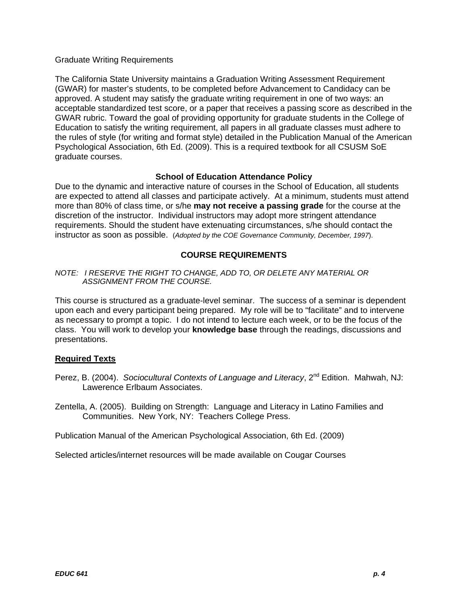## Graduate Writing Requirements

The California State University maintains a Graduation Writing Assessment Requirement (GWAR) for master's students, to be completed before Advancement to Candidacy can be approved. A student may satisfy the graduate writing requirement in one of two ways: an acceptable standardized test score, or a paper that receives a passing score as described in the GWAR rubric. Toward the goal of providing opportunity for graduate students in the College of Education to satisfy the writing requirement, all papers in all graduate classes must adhere to the rules of style (for writing and format style) detailed in the Publication Manual of the American Psychological Association, 6th Ed. (2009). This is a required textbook for all CSUSM SoE graduate courses.

## **School of Education Attendance Policy**

Due to the dynamic and interactive nature of courses in the School of Education, all students are expected to attend all classes and participate actively. At a minimum, students must attend more than 80% of class time, or s/he **may not receive a passing grade** for the course at the discretion of the instructor. Individual instructors may adopt more stringent attendance requirements. Should the student have extenuating circumstances, s/he should contact the instructor as soon as possible. (*Adopted by the COE Governance Community, December, 1997*).

## **COURSE REQUIREMENTS**

## *NOTE: I RESERVE THE RIGHT TO CHANGE, ADD TO, OR DELETE ANY MATERIAL OR ASSIGNMENT FROM THE COURSE.*

This course is structured as a graduate-level seminar. The success of a seminar is dependent upon each and every participant being prepared. My role will be to "facilitate" and to intervene as necessary to prompt a topic. I do not intend to lecture each week, or to be the focus of the class. You will work to develop your **knowledge base** through the readings, discussions and presentations.

## **Required Texts**

Perez, B. (2004). *Sociocultural Contexts of Language and Literacy*, 2<sup>nd</sup> Edition. Mahwah, NJ: Lawerence Erlbaum Associates.

Zentella, A. (2005). Building on Strength: Language and Literacy in Latino Families and Communities. New York, NY: Teachers College Press.

Publication Manual of the American Psychological Association, 6th Ed. (2009)

Selected articles/internet resources will be made available on Cougar Courses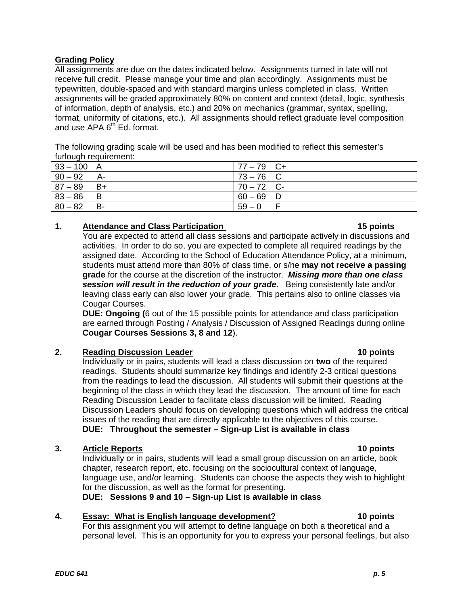## **Grading Policy**

All assignments are due on the dates indicated below. Assignments turned in late will not receive full credit. Please manage your time and plan accordingly. Assignments must be typewritten, double-spaced and with standard margins unless completed in class. Written assignments will be graded approximately 80% on content and context (detail, logic, synthesis of information, depth of analysis, etc.) and 20% on mechanics (grammar, syntax, spelling, format, uniformity of citations, etc.). All assignments should reflect graduate level composition and use APA 6<sup>th</sup> Ed. format.

The following grading scale will be used and has been modified to reflect this semester's furlough requirement:

| $93 - 100$ A |      | $77 - 79$ C+ |
|--------------|------|--------------|
| $90 - 92$    | - A  | $73 - 76$ C  |
| $87 - 89$    | - B+ | $70 - 72$ C- |
| $83 - 86$    | - B  | $60 - 69$ D  |
| $80 - 82$    | -B   | $59 - 0$     |

## **1.** Attendance and Class Participation

15 points You are expected to attend all class sessions and participate actively in discussions and activities. In order to do so, you are expected to complete all required readings by the assigned date. According to the School of Education Attendance Policy, at a minimum, students must attend more than 80% of class time, or s/he **may not receive a passing grade** for the course at the discretion of the instructor. *Missing more than one class session will result in the reduction of your grade.* Being consistently late and/or leaving class early can also lower your grade. This pertains also to online classes via Cougar Courses.

**DUE: Ongoing (**6 out of the 15 possible points for attendance and class participation are earned through Posting / Analysis / Discussion of Assigned Readings during online **Cougar Courses Sessions 3, 8 and 12**).

## **2.** Reading Discussion Leader **10 points 10 points**

Individually or in pairs, students will lead a class discussion on **two** of the required readings. Students should summarize key findings and identify 2-3 critical questions from the readings to lead the discussion. All students will submit their questions at the beginning of the class in which they lead the discussion. The amount of time for each Reading Discussion Leader to facilitate class discussion will be limited. Reading Discussion Leaders should focus on developing questions which will address the critical issues of the reading that are directly applicable to the objectives of this course. **DUE: Throughout the semester – Sign-up List is available in class** 

## **3.** Article Reports **10 points 10 points**

Individually or in pairs, students will lead a small group discussion on an article, book chapter, research report, etc. focusing on the sociocultural context of language, language use, and/or learning. Students can choose the aspects they wish to highlight for the discussion, as well as the format for presenting.

**DUE: Sessions 9 and 10 – Sign-up List is available in class** 

## 4. **Essay: What is English language development?** 10 points

For this assignment you will attempt to define language on both a theoretical and a personal level. This is an opportunity for you to express your personal feelings, but also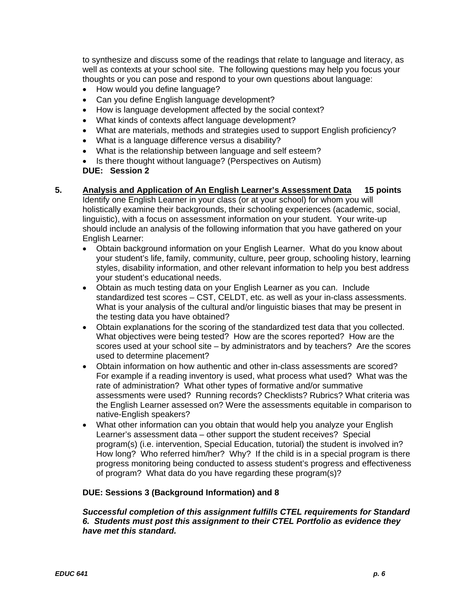to synthesize and discuss some of the readings that relate to language and literacy, as well as contexts at your school site. The following questions may help you focus your thoughts or you can pose and respond to your own questions about language:

- How would you define language?
- Can you define English language development?
- How is language development affected by the social context?
- What kinds of contexts affect language development?
- What are materials, methods and strategies used to support English proficiency?
- What is a language difference versus a disability?
- What is the relationship between language and self esteem?
- Is there thought without language? (Perspectives on Autism)

## **DUE: Session 2**

- **5. Analysis and Application of An English Learner's Assessment Data 15 points**  Identify one English Learner in your class (or at your school) for whom you will holistically examine their backgrounds, their schooling experiences (academic, social, linguistic), with a focus on assessment information on your student. Your write-up should include an analysis of the following information that you have gathered on your English Learner:
	- Obtain background information on your English Learner. What do you know about your student's life, family, community, culture, peer group, schooling history, learning styles, disability information, and other relevant information to help you best address your student's educational needs.
	- Obtain as much testing data on your English Learner as you can. Include standardized test scores – CST, CELDT, etc. as well as your in-class assessments. What is your analysis of the cultural and/or linguistic biases that may be present in the testing data you have obtained?
	- Obtain explanations for the scoring of the standardized test data that you collected. What objectives were being tested? How are the scores reported? How are the scores used at your school site – by administrators and by teachers? Are the scores used to determine placement?
	- Obtain information on how authentic and other in-class assessments are scored? For example if a reading inventory is used, what process what used? What was the rate of administration? What other types of formative and/or summative assessments were used? Running records? Checklists? Rubrics? What criteria was the English Learner assessed on? Were the assessments equitable in comparison to native-English speakers?
	- What other information can you obtain that would help you analyze your English Learner's assessment data – other support the student receives? Special program(s) (i.e. intervention, Special Education, tutorial) the student is involved in? How long? Who referred him/her? Why? If the child is in a special program is there progress monitoring being conducted to assess student's progress and effectiveness of program? What data do you have regarding these program(s)?

## **DUE: Sessions 3 (Background Information) and 8**

*Successful completion of this assignment fulfills CTEL requirements for Standard 6. Students must post this assignment to their CTEL Portfolio as evidence they have met this standard.*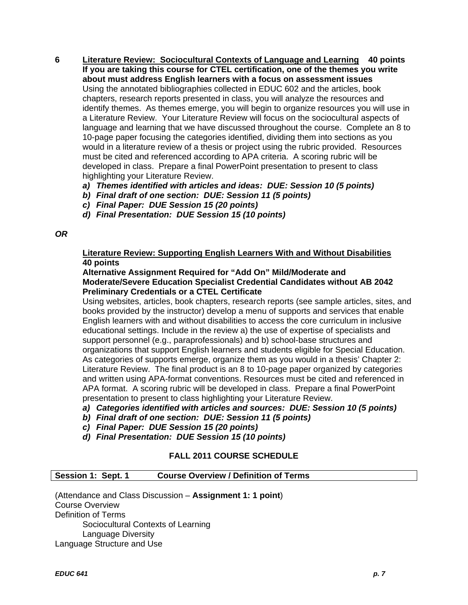- **6 Literature Review: Sociocultural Contexts of Language and Learning 40 points If you are taking this course for CTEL certification, one of the themes you write about must address English learners with a focus on assessment issues**  Using the annotated bibliographies collected in EDUC 602 and the articles, book chapters, research reports presented in class, you will analyze the resources and identify themes. As themes emerge, you will begin to organize resources you will use in a Literature Review. Your Literature Review will focus on the sociocultural aspects of language and learning that we have discussed throughout the course. Complete an 8 to 10-page paper focusing the categories identified, dividing them into sections as you would in a literature review of a thesis or project using the rubric provided. Resources must be cited and referenced according to APA criteria. A scoring rubric will be developed in class. Prepare a final PowerPoint presentation to present to class highlighting your Literature Review.
	- *a) Themes identified with articles and ideas: DUE: Session 10 (5 points)*
	- *b) Final draft of one section: DUE: Session 11 (5 points)*
	- *c) Final Paper: DUE Session 15 (20 points)*
	- *d) Final Presentation: DUE Session 15 (10 points)*

### *OR*

## **Literature Review: Supporting English Learners With and Without Disabilities 40 points**

## **Alternative Assignment Required for "Add On" Mild/Moderate and Moderate/Severe Education Specialist Credential Candidates without AB 2042 Preliminary Credentials or a CTEL Certificate**

Using websites, articles, book chapters, research reports (see sample articles, sites, and books provided by the instructor) develop a menu of supports and services that enable English learners with and without disabilities to access the core curriculum in inclusive educational settings. Include in the review a) the use of expertise of specialists and support personnel (e.g., paraprofessionals) and b) school-base structures and organizations that support English learners and students eligible for Special Education. As categories of supports emerge, organize them as you would in a thesis' Chapter 2: Literature Review. The final product is an 8 to 10-page paper organized by categories and written using APA-format conventions. Resources must be cited and referenced in APA format. A scoring rubric will be developed in class. Prepare a final PowerPoint presentation to present to class highlighting your Literature Review.

- *a) Categories identified with articles and sources: DUE: Session 10 (5 points)*
- *b) Final draft of one section: DUE: Session 11 (5 points)*
- *c) Final Paper: DUE Session 15 (20 points)*
- *d) Final Presentation: DUE Session 15 (10 points)*

## **FALL 2011 COURSE SCHEDULE**

### **Session 1: Sept. 1 Course Overview / Definition of Terms**

(Attendance and Class Discussion – **Assignment 1: 1 point**) Course Overview Definition of Terms Sociocultural Contexts of Learning Language Diversity Language Structure and Use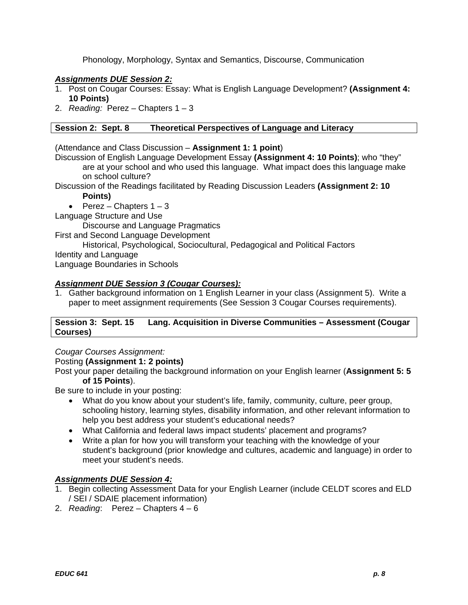Phonology, Morphology, Syntax and Semantics, Discourse, Communication

## *Assignments DUE Session 2:*

- 1. Post on Cougar Courses: Essay: What is English Language Development? **(Assignment 4: 10 Points)**
- 2. *Reading:* Perez Chapters 1 3

## **Session 2: Sept. 8 Theoretical Perspectives of Language and Literacy**

(Attendance and Class Discussion – **Assignment 1: 1 point**)

Discussion of English Language Development Essay **(Assignment 4: 10 Points)**; who "they" are at your school and who used this language. What impact does this language make

- on school culture?
- Discussion of the Readings facilitated by Reading Discussion Leaders **(Assignment 2: 10 Points)** 
	- Perez Chapters  $1 3$

Language Structure and Use

Discourse and Language Pragmatics

First and Second Language Development

Historical, Psychological, Sociocultural, Pedagogical and Political Factors Identity and Language Language Boundaries in Schools

## *Assignment DUE Session 3 (Cougar Courses):*

1. Gather background information on 1 English Learner in your class (Assignment 5). Write a paper to meet assignment requirements (See Session 3 Cougar Courses requirements).

### **Session 3: Sept. 15 Lang. Acquisition in Diverse Communities – Assessment (Cougar Courses)**

## *Cougar Courses Assignment:*

Posting **(Assignment 1: 2 points)** 

Post your paper detailing the background information on your English learner (**Assignment 5: 5 of 15 Points**).

Be sure to include in your posting:

- What do you know about your student's life, family, community, culture, peer group, schooling history, learning styles, disability information, and other relevant information to help you best address your student's educational needs?
- What California and federal laws impact students' placement and programs?
- Write a plan for how you will transform your teaching with the knowledge of your student's background (prior knowledge and cultures, academic and language) in order to meet your student's needs.

# *Assignments DUE Session 4:*

- 1. Begin collecting Assessment Data for your English Learner (include CELDT scores and ELD / SEI / SDAIE placement information)
- 2. *Reading*: Perez Chapters 4 6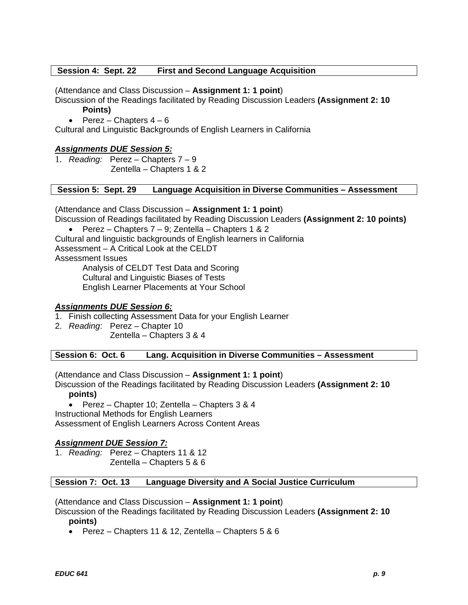### **Session 4: Sept. 22 First and Second Language Acquisition**

(Attendance and Class Discussion – **Assignment 1: 1 point**)

Discussion of the Readings facilitated by Reading Discussion Leaders **(Assignment 2: 10 Points)** 

• Perez – Chapters  $4 - 6$ 

Cultural and Linguistic Backgrounds of English Learners in California

## *Assignments DUE Session 5:*

1. *Reading:* Perez – Chapters 7 – 9 Zentella – Chapters 1 & 2

#### **Session 5: Sept. 29 Language Acquisition in Diverse Communities – Assessment**

(Attendance and Class Discussion – **Assignment 1: 1 point**)

Discussion of Readings facilitated by Reading Discussion Leaders **(Assignment 2: 10 points)** 

**Perez** – Chapters  $7 - 9$ ; Zentella – Chapters 1 & 2

Cultural and linguistic backgrounds of English learners in California

Assessment – A Critical Look at the CELDT

Assessment Issues

Analysis of CELDT Test Data and Scoring

Cultural and Linguistic Biases of Tests

English Learner Placements at Your School

### *Assignments DUE Session 6:*

- 1. Finish collecting Assessment Data for your English Learner
- 2. *Reading*: Perez Chapter 10

Zentella – Chapters 3 & 4

**Session 6: Oct. 6 Lang. Acquisition in Diverse Communities – Assessment** 

(Attendance and Class Discussion – **Assignment 1: 1 point**)

Discussion of the Readings facilitated by Reading Discussion Leaders **(Assignment 2: 10 points)** 

 Perez – Chapter 10; Zentella – Chapters 3 & 4 Instructional Methods for English Learners Assessment of English Learners Across Content Areas

## *Assignment DUE Session 7:*

1. *Reading:* Perez – Chapters 11 & 12 Zentella – Chapters 5 & 6

### **Session 7: Oct. 13 Language Diversity and A Social Justice Curriculum**

(Attendance and Class Discussion – **Assignment 1: 1 point**)

Discussion of the Readings facilitated by Reading Discussion Leaders **(Assignment 2: 10 points)** 

**Perez** – Chapters 11 & 12, Zentella – Chapters  $5 & 6$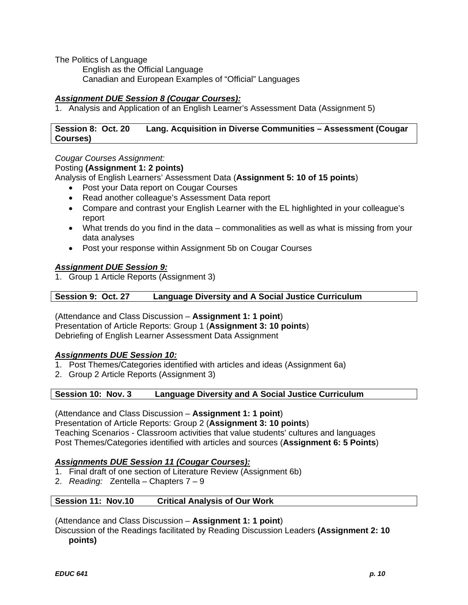The Politics of Language

English as the Official Language Canadian and European Examples of "Official" Languages

## *Assignment DUE Session 8 (Cougar Courses):*

1. Analysis and Application of an English Learner's Assessment Data (Assignment 5)

## **Session 8: Oct. 20 Lang. Acquisition in Diverse Communities – Assessment (Cougar Courses)**

## *Cougar Courses Assignment:*

## Posting **(Assignment 1: 2 points)**

Analysis of English Learners' Assessment Data (**Assignment 5: 10 of 15 points**)

- Post your Data report on Cougar Courses
- Read another colleague's Assessment Data report
- Compare and contrast your English Learner with the EL highlighted in your colleague's report
- What trends do you find in the data commonalities as well as what is missing from your data analyses
- Post your response within Assignment 5b on Cougar Courses

## *Assignment DUE Session 9:*

1. Group 1 Article Reports (Assignment 3)

## **Session 9: Oct. 27 Language Diversity and A Social Justice Curriculum**

(Attendance and Class Discussion – **Assignment 1: 1 point**) Presentation of Article Reports: Group 1 (**Assignment 3: 10 points**) Debriefing of English Learner Assessment Data Assignment

## *Assignments DUE Session 10:*

- 1. Post Themes/Categories identified with articles and ideas (Assignment 6a)
- 2. Group 2 Article Reports (Assignment 3)

### **Session 10: Nov. 3 Language Diversity and A Social Justice Curriculum**

(Attendance and Class Discussion – **Assignment 1: 1 point**) Presentation of Article Reports: Group 2 (**Assignment 3: 10 points**) Teaching Scenarios - Classroom activities that value students' cultures and languages Post Themes/Categories identified with articles and sources (**Assignment 6: 5 Points**)

## *Assignments DUE Session 11 (Cougar Courses):*

- 1. Final draft of one section of Literature Review (Assignment 6b)
- 2. *Reading:* Zentella Chapters 7 9

### **Session 11: Nov.10 Critical Analysis of Our Work**

(Attendance and Class Discussion – **Assignment 1: 1 point**)

Discussion of the Readings facilitated by Reading Discussion Leaders **(Assignment 2: 10 points)**